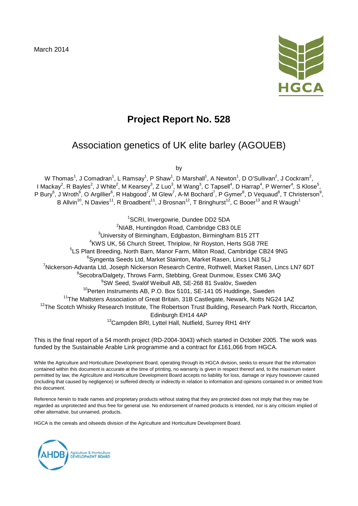March 2014



# **Project Report No. 528**

# Association genetics of UK elite barley (AGOUEB)

by

W Thomas $^1$ , J Comadran $^1$ , L Ramsay $^1$ , P Shaw $^1$ , D Marshall $^1$ , A Newton $^1$ , D O'Sullivan $^2$ , J Cockram $^2$ , I Mackay $^2$ , R Bayles $^2$ , J White $^2$ , M Kearsey $^3$ , Z Luo $^3$ , M Wang $^3$ , C Tapsell $^4$ , D Harrap $^4$ , P Werner $^4$ , S Klose $^5$ , P Bury<sup>6</sup>, J Wroth<sup>6</sup>, O Argillier<sup>6</sup>, R Habgood<sup>7</sup>, M Glew<sup>7</sup>, A-M Bochard<sup>7</sup>, P Gymer<sup>8</sup>, D Vequaud<sup>8</sup>, T Christerson<sup>9</sup>, B Allvin<sup>10</sup>, N Davies<sup>11</sup>, R Broadbent<sup>11</sup>, J Brosnan<sup>12</sup>, T Bringhurst<sup>12</sup>, C Booer<sup>13</sup> and R Waugh<sup>1</sup>

<sup>1</sup>SCRI, Invergowrie, Dundee DD2 5DA

<sup>2</sup>NIAB, Huntingdon Road, Cambridge CB3 0LE  ${}^{3}$ University of Birmingham, Edgbaston, Birmingham B15 2TT 4 KWS UK, 56 Church Street, Thriplow, Nr Royston, Herts SG8 7RE 5 LS Plant Breeding, North Barn, Manor Farm, Milton Road, Cambridge CB24 9NG 6 Syngenta Seeds Ltd, Market Stainton, Market Rasen, Lincs LN8 5LJ <sup>7</sup>Nickerson-Advanta Ltd, Joseph Nickerson Research Centre, Rothwell, Market Rasen, Lincs LN7 6DT 8 Secobra/Dalgety, Throws Farm, Stebbing, Great Dunmow, Essex CM6 3AQ 9 SW Seed, Svalöf Weibull AB, SE-268 81 Svalöv, Sweden <sup>10</sup>Perten Instruments AB, P.O. Box 5101, SE-141 05 Huddinge, Sweden <sup>11</sup>The Maltsters Association of Great Britain, 31B Castlegate, Newark, Notts NG24 1AZ <sup>12</sup>The Scotch Whisky Research Institute, The Robertson Trust Building, Research Park North, Riccarton, Edinburgh EH14 4AP 13Campden BRI, Lyttel Hall, Nutfield, Surrey RH1 4HY

This is the final report of a 54 month project (RD-2004-3043) which started in October 2005. The work was funded by the Sustainable Arable Link programme and a contract for £161,066 from HGCA.

While the Agriculture and Horticulture Development Board, operating through its HGCA division, seeks to ensure that the information contained within this document is accurate at the time of printing, no warranty is given in respect thereof and, to the maximum extent permitted by law, the Agriculture and Horticulture Development Board accepts no liability for loss, damage or injury howsoever caused (including that caused by negligence) or suffered directly or indirectly in relation to information and opinions contained in or omitted from this document.

Reference herein to trade names and proprietary products without stating that they are protected does not imply that they may be regarded as unprotected and thus free for general use. No endorsement of named products is intended, nor is any criticism implied of other alternative, but unnamed, products.

HGCA is the cereals and oilseeds division of the Agriculture and Horticulture Development Board.

Agriculture & Horticulture<br>DEVELOPMENT BOARD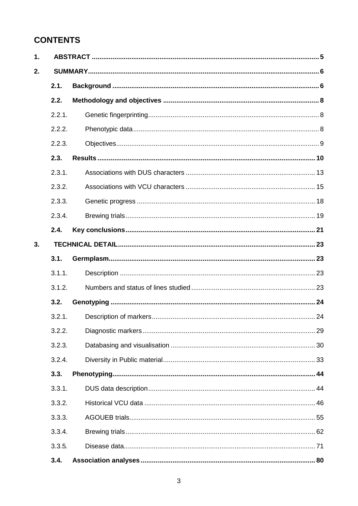# **CONTENTS**

| 1. |        |  |  |  |
|----|--------|--|--|--|
| 2. |        |  |  |  |
|    | 2.1.   |  |  |  |
|    | 2.2.   |  |  |  |
|    | 2.2.1. |  |  |  |
|    | 2.2.2. |  |  |  |
|    | 2.2.3. |  |  |  |
|    | 2.3.   |  |  |  |
|    | 2.3.1. |  |  |  |
|    | 2.3.2. |  |  |  |
|    | 2.3.3. |  |  |  |
|    | 2.3.4. |  |  |  |
|    | 2.4.   |  |  |  |
| 3. |        |  |  |  |
|    | 3.1.   |  |  |  |
|    | 3.1.1. |  |  |  |
|    | 3.1.2. |  |  |  |
|    | 3.2.   |  |  |  |
|    | 3.2.1. |  |  |  |
|    | 3.2.2. |  |  |  |
|    | 3.2.3. |  |  |  |
|    | 3.2.4. |  |  |  |
|    | 3.3.   |  |  |  |
|    | 3.3.1. |  |  |  |
|    | 3.3.2. |  |  |  |
|    | 3.3.3. |  |  |  |
|    | 3.3.4. |  |  |  |
|    | 3.3.5. |  |  |  |
|    | 3.4.   |  |  |  |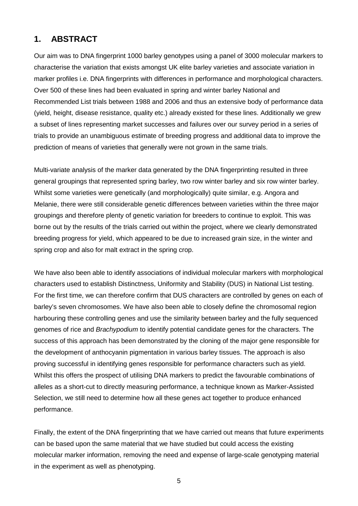### **1. ABSTRACT**

Our aim was to DNA fingerprint 1000 barley genotypes using a panel of 3000 molecular markers to characterise the variation that exists amongst UK elite barley varieties and associate variation in marker profiles i.e. DNA fingerprints with differences in performance and morphological characters. Over 500 of these lines had been evaluated in spring and winter barley National and Recommended List trials between 1988 and 2006 and thus an extensive body of performance data (yield, height, disease resistance, quality etc.) already existed for these lines. Additionally we grew a subset of lines representing market successes and failures over our survey period in a series of trials to provide an unambiguous estimate of breeding progress and additional data to improve the prediction of means of varieties that generally were not grown in the same trials.

Multi-variate analysis of the marker data generated by the DNA fingerprinting resulted in three general groupings that represented spring barley, two row winter barley and six row winter barley. Whilst some varieties were genetically (and morphologically) quite similar, e.g. Angora and Melanie, there were still considerable genetic differences between varieties within the three major groupings and therefore plenty of genetic variation for breeders to continue to exploit. This was borne out by the results of the trials carried out within the project, where we clearly demonstrated breeding progress for yield, which appeared to be due to increased grain size, in the winter and spring crop and also for malt extract in the spring crop.

We have also been able to identify associations of individual molecular markers with morphological characters used to establish Distinctness, Uniformity and Stability (DUS) in National List testing. For the first time, we can therefore confirm that DUS characters are controlled by genes on each of barley's seven chromosomes. We have also been able to closely define the chromosomal region harbouring these controlling genes and use the similarity between barley and the fully sequenced genomes of rice and *Brachypodium* to identify potential candidate genes for the characters. The success of this approach has been demonstrated by the cloning of the major gene responsible for the development of anthocyanin pigmentation in various barley tissues. The approach is also proving successful in identifying genes responsible for performance characters such as yield. Whilst this offers the prospect of utilising DNA markers to predict the favourable combinations of alleles as a short-cut to directly measuring performance, a technique known as Marker-Assisted Selection, we still need to determine how all these genes act together to produce enhanced performance.

Finally, the extent of the DNA fingerprinting that we have carried out means that future experiments can be based upon the same material that we have studied but could access the existing molecular marker information, removing the need and expense of large-scale genotyping material in the experiment as well as phenotyping.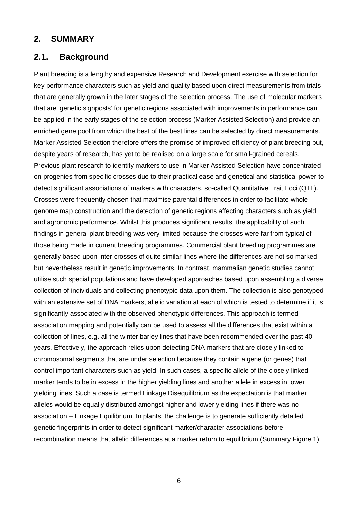#### **2. SUMMARY**

#### **2.1. Background**

Plant breeding is a lengthy and expensive Research and Development exercise with selection for key performance characters such as yield and quality based upon direct measurements from trials that are generally grown in the later stages of the selection process. The use of molecular markers that are 'genetic signposts' for genetic regions associated with improvements in performance can be applied in the early stages of the selection process (Marker Assisted Selection) and provide an enriched gene pool from which the best of the best lines can be selected by direct measurements. Marker Assisted Selection therefore offers the promise of improved efficiency of plant breeding but, despite years of research, has yet to be realised on a large scale for small-grained cereals. Previous plant research to identify markers to use in Marker Assisted Selection have concentrated on progenies from specific crosses due to their practical ease and genetical and statistical power to detect significant associations of markers with characters, so-called Quantitative Trait Loci (QTL). Crosses were frequently chosen that maximise parental differences in order to facilitate whole genome map construction and the detection of genetic regions affecting characters such as yield and agronomic performance. Whilst this produces significant results, the applicability of such findings in general plant breeding was very limited because the crosses were far from typical of those being made in current breeding programmes. Commercial plant breeding programmes are generally based upon inter-crosses of quite similar lines where the differences are not so marked but nevertheless result in genetic improvements. In contrast, mammalian genetic studies cannot utilise such special populations and have developed approaches based upon assembling a diverse collection of individuals and collecting phenotypic data upon them. The collection is also genotyped with an extensive set of DNA markers, allelic variation at each of which is tested to determine if it is significantly associated with the observed phenotypic differences. This approach is termed association mapping and potentially can be used to assess all the differences that exist within a collection of lines, e.g. all the winter barley lines that have been recommended over the past 40 years. Effectively, the approach relies upon detecting DNA markers that are closely linked to chromosomal segments that are under selection because they contain a gene (or genes) that control important characters such as yield. In such cases, a specific allele of the closely linked marker tends to be in excess in the higher yielding lines and another allele in excess in lower yielding lines. Such a case is termed Linkage Disequilibrium as the expectation is that marker alleles would be equally distributed amongst higher and lower yielding lines if there was no association – Linkage Equilibrium. In plants, the challenge is to generate sufficiently detailed genetic fingerprints in order to detect significant marker/character associations before recombination means that allelic differences at a marker return to equilibrium (Summary Figure 1).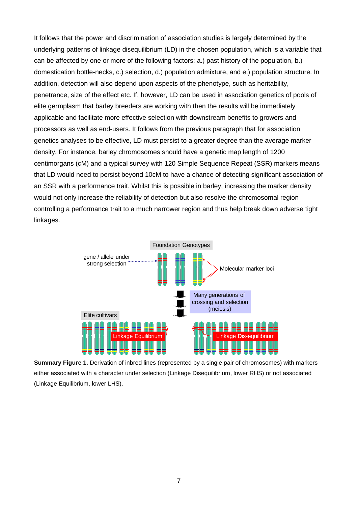It follows that the power and discrimination of association studies is largely determined by the underlying patterns of linkage disequilibrium (LD) in the chosen population, which is a variable that can be affected by one or more of the following factors: a.) past history of the population, b.) domestication bottle-necks, c.) selection, d.) population admixture, and e.) population structure. In addition, detection will also depend upon aspects of the phenotype, such as heritability, penetrance, size of the effect etc. If, however, LD can be used in association genetics of pools of elite germplasm that barley breeders are working with then the results will be immediately applicable and facilitate more effective selection with downstream benefits to growers and processors as well as end-users. It follows from the previous paragraph that for association genetics analyses to be effective, LD must persist to a greater degree than the average marker density. For instance, barley chromosomes should have a genetic map length of 1200 centimorgans (cM) and a typical survey with 120 Simple Sequence Repeat (SSR) markers means that LD would need to persist beyond 10cM to have a chance of detecting significant association of an SSR with a performance trait. Whilst this is possible in barley, increasing the marker density would not only increase the reliability of detection but also resolve the chromosomal region controlling a performance trait to a much narrower region and thus help break down adverse tight linkages.



**Summary Figure 1.** Derivation of inbred lines (represented by a single pair of chromosomes) with markers either associated with a character under selection (Linkage Disequilibrium, lower RHS) or not associated (Linkage Equilibrium, lower LHS).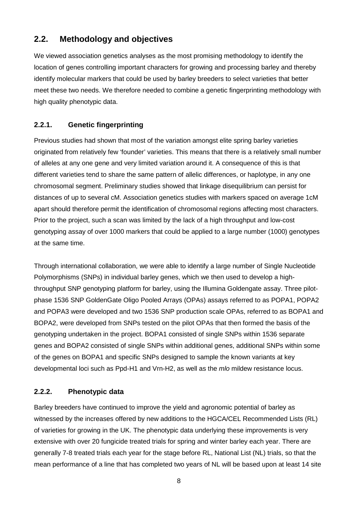### **2.2. Methodology and objectives**

We viewed association genetics analyses as the most promising methodology to identify the location of genes controlling important characters for growing and processing barley and thereby identify molecular markers that could be used by barley breeders to select varieties that better meet these two needs. We therefore needed to combine a genetic fingerprinting methodology with high quality phenotypic data.

#### **2.2.1. Genetic fingerprinting**

Previous studies had shown that most of the variation amongst elite spring barley varieties originated from relatively few 'founder' varieties. This means that there is a relatively small number of alleles at any one gene and very limited variation around it. A consequence of this is that different varieties tend to share the same pattern of allelic differences, or haplotype, in any one chromosomal segment. Preliminary studies showed that linkage disequilibrium can persist for distances of up to several cM. Association genetics studies with markers spaced on average 1cM apart should therefore permit the identification of chromosomal regions affecting most characters. Prior to the project, such a scan was limited by the lack of a high throughput and low-cost genotyping assay of over 1000 markers that could be applied to a large number (1000) genotypes at the same time.

Through international collaboration, we were able to identify a large number of Single Nucleotide Polymorphisms (SNPs) in individual barley genes, which we then used to develop a highthroughput SNP genotyping platform for barley, using the Illumina Goldengate assay. Three pilotphase 1536 SNP GoldenGate Oligo Pooled Arrays (OPAs) assays referred to as POPA1, POPA2 and POPA3 were developed and two 1536 SNP production scale OPAs, referred to as BOPA1 and BOPA2, were developed from SNPs tested on the pilot OPAs that then formed the basis of the genotyping undertaken in the project. BOPA1 consisted of single SNPs within 1536 separate genes and BOPA2 consisted of single SNPs within additional genes, additional SNPs within some of the genes on BOPA1 and specific SNPs designed to sample the known variants at key developmental loci such as Ppd-H1 and Vrn-H2, as well as the *mlo* mildew resistance locus.

#### **2.2.2. Phenotypic data**

Barley breeders have continued to improve the yield and agronomic potential of barley as witnessed by the increases offered by new additions to the HGCA/CEL Recommended Lists (RL) of varieties for growing in the UK. The phenotypic data underlying these improvements is very extensive with over 20 fungicide treated trials for spring and winter barley each year. There are generally 7-8 treated trials each year for the stage before RL, National List (NL) trials, so that the mean performance of a line that has completed two years of NL will be based upon at least 14 site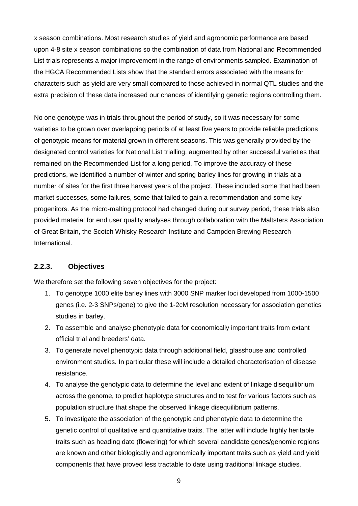x season combinations. Most research studies of yield and agronomic performance are based upon 4-8 site x season combinations so the combination of data from National and Recommended List trials represents a major improvement in the range of environments sampled. Examination of the HGCA Recommended Lists show that the standard errors associated with the means for characters such as yield are very small compared to those achieved in normal QTL studies and the extra precision of these data increased our chances of identifying genetic regions controlling them.

No one genotype was in trials throughout the period of study, so it was necessary for some varieties to be grown over overlapping periods of at least five years to provide reliable predictions of genotypic means for material grown in different seasons. This was generally provided by the designated control varieties for National List trialling, augmented by other successful varieties that remained on the Recommended List for a long period. To improve the accuracy of these predictions, we identified a number of winter and spring barley lines for growing in trials at a number of sites for the first three harvest years of the project. These included some that had been market successes, some failures, some that failed to gain a recommendation and some key progenitors. As the micro-malting protocol had changed during our survey period, these trials also provided material for end user quality analyses through collaboration with the Maltsters Association of Great Britain, the Scotch Whisky Research Institute and Campden Brewing Research International.

#### **2.2.3. Objectives**

We therefore set the following seven objectives for the project:

- 1. To genotype 1000 elite barley lines with 3000 SNP marker loci developed from 1000-1500 genes (i.e. 2-3 SNPs/gene) to give the 1-2cM resolution necessary for association genetics studies in barley.
- 2. To assemble and analyse phenotypic data for economically important traits from extant official trial and breeders' data.
- 3. To generate novel phenotypic data through additional field, glasshouse and controlled environment studies. In particular these will include a detailed characterisation of disease resistance.
- 4. To analyse the genotypic data to determine the level and extent of linkage disequilibrium across the genome, to predict haplotype structures and to test for various factors such as population structure that shape the observed linkage disequilibrium patterns.
- 5. To investigate the association of the genotypic and phenotypic data to determine the genetic control of qualitative and quantitative traits. The latter will include highly heritable traits such as heading date (flowering) for which several candidate genes/genomic regions are known and other biologically and agronomically important traits such as yield and yield components that have proved less tractable to date using traditional linkage studies.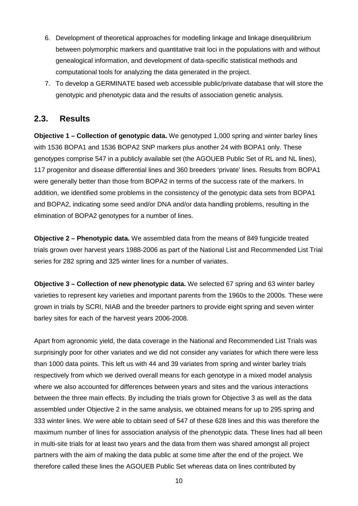- 6. Development of theoretical approaches for modelling linkage and linkage disequilibrium between polymorphic markers and quantitative trait loci in the populations with and without genealogical information, and development of data-specific statistical methods and computational tools for analyzing the data generated in the project.
- 7. To develop a GERMINATE based web accessible public/private database that will store the genotypic and phenotypic data and the results of association genetic analysis.

#### **2.3. Results**

**Objective 1 – Collection of genotypic data.** We genotyped 1,000 spring and winter barley lines with 1536 BOPA1 and 1536 BOPA2 SNP markers plus another 24 with BOPA1 only. These genotypes comprise 547 in a publicly available set (the AGOUEB Public Set of RL and NL lines), 117 progenitor and disease differential lines and 360 breeders 'private' lines. Results from BOPA1 were generally better than those from BOPA2 in terms of the success rate of the markers. In addition, we identified some problems in the consistency of the genotypic data sets from BOPA1 and BOPA2, indicating some seed and/or DNA and/or data handling problems, resulting in the elimination of BOPA2 genotypes for a number of lines.

**Objective 2 – Phenotypic data.** We assembled data from the means of 849 fungicide treated trials grown over harvest years 1988-2006 as part of the National List and Recommended List Trial series for 282 spring and 325 winter lines for a number of variates.

**Objective 3 – Collection of new phenotypic data.** We selected 67 spring and 63 winter barley varieties to represent key varieties and important parents from the 1960s to the 2000s. These were grown in trials by SCRI, NIAB and the breeder partners to provide eight spring and seven winter barley sites for each of the harvest years 2006-2008.

Apart from agronomic yield, the data coverage in the National and Recommended List Trials was surprisingly poor for other variates and we did not consider any variates for which there were less than 1000 data points. This left us with 44 and 39 variates from spring and winter barley trials respectively from which we derived overall means for each genotype in a mixed model analysis where we also accounted for differences between years and sites and the various interactions between the three main effects. By including the trials grown for Objective 3 as well as the data assembled under Objective 2 in the same analysis, we obtained means for up to 295 spring and 333 winter lines. We were able to obtain seed of 547 of these 628 lines and this was therefore the maximum number of lines for association analysis of the phenotypic data. These lines had all been in multi-site trials for at least two years and the data from them was shared amongst all project partners with the aim of making the data public at some time after the end of the project. We therefore called these lines the AGOUEB Public Set whereas data on lines contributed by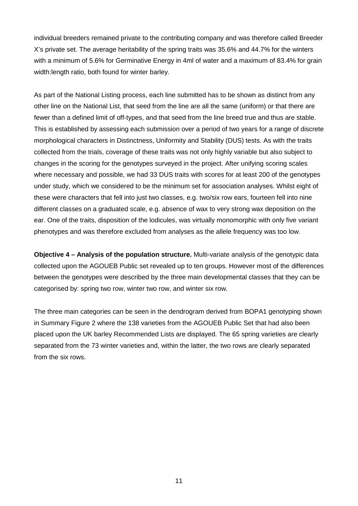individual breeders remained private to the contributing company and was therefore called Breeder X's private set. The average heritability of the spring traits was 35.6% and 44.7% for the winters with a minimum of 5.6% for Germinative Energy in 4ml of water and a maximum of 83.4% for grain width:length ratio, both found for winter barley.

As part of the National Listing process, each line submitted has to be shown as distinct from any other line on the National List, that seed from the line are all the same (uniform) or that there are fewer than a defined limit of off-types, and that seed from the line breed true and thus are stable. This is established by assessing each submission over a period of two years for a range of discrete morphological characters in Distinctness, Uniformity and Stability (DUS) tests. As with the traits collected from the trials, coverage of these traits was not only highly variable but also subject to changes in the scoring for the genotypes surveyed in the project. After unifying scoring scales where necessary and possible, we had 33 DUS traits with scores for at least 200 of the genotypes under study, which we considered to be the minimum set for association analyses. Whilst eight of these were characters that fell into just two classes, e.g. two/six row ears, fourteen fell into nine different classes on a graduated scale, e.g. absence of wax to very strong wax deposition on the ear. One of the traits, disposition of the lodicules, was virtually monomorphic with only five variant phenotypes and was therefore excluded from analyses as the allele frequency was too low.

**Objective 4 – Analysis of the population structure.** Multi-variate analysis of the genotypic data collected upon the AGOUEB Public set revealed up to ten groups. However most of the differences between the genotypes were described by the three main developmental classes that they can be categorised by: spring two row, winter two row, and winter six row.

The three main categories can be seen in the dendrogram derived from BOPA1 genotyping shown in Summary Figure 2 where the 138 varieties from the AGOUEB Public Set that had also been placed upon the UK barley Recommended Lists are displayed. The 65 spring varieties are clearly separated from the 73 winter varieties and, within the latter, the two rows are clearly separated from the six rows.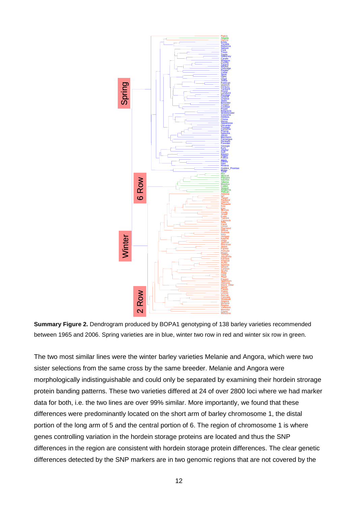

**Summary Figure 2.** Dendrogram produced by BOPA1 genotyping of 138 barley varieties recommended between 1965 and 2006. Spring varieties are in blue, winter two row in red and winter six row in green.

The two most similar lines were the winter barley varieties Melanie and Angora, which were two sister selections from the same cross by the same breeder. Melanie and Angora were morphologically indistinguishable and could only be separated by examining their hordein strorage protein banding patterns. These two varieties differed at 24 of over 2800 loci where we had marker data for both, i.e. the two lines are over 99% similar. More importantly, we found that these differences were predominantly located on the short arm of barley chromosome 1, the distal portion of the long arm of 5 and the central portion of 6. The region of chromosome 1 is where genes controlling variation in the hordein storage proteins are located and thus the SNP differences in the region are consistent with hordein storage protein differences. The clear genetic differences detected by the SNP markers are in two genomic regions that are not covered by the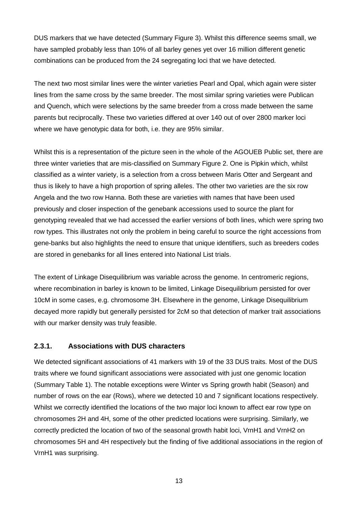DUS markers that we have detected (Summary Figure 3). Whilst this difference seems small, we have sampled probably less than 10% of all barley genes yet over 16 million different genetic combinations can be produced from the 24 segregating loci that we have detected.

The next two most similar lines were the winter varieties Pearl and Opal, which again were sister lines from the same cross by the same breeder. The most similar spring varieties were Publican and Quench, which were selections by the same breeder from a cross made between the same parents but reciprocally. These two varieties differed at over 140 out of over 2800 marker loci where we have genotypic data for both, i.e. they are 95% similar.

Whilst this is a representation of the picture seen in the whole of the AGOUEB Public set, there are three winter varieties that are mis-classified on Summary Figure 2. One is Pipkin which, whilst classified as a winter variety, is a selection from a cross between Maris Otter and Sergeant and thus is likely to have a high proportion of spring alleles. The other two varieties are the six row Angela and the two row Hanna. Both these are varieties with names that have been used previously and closer inspection of the genebank accessions used to source the plant for genotyping revealed that we had accessed the earlier versions of both lines, which were spring two row types. This illustrates not only the problem in being careful to source the right accessions from gene-banks but also highlights the need to ensure that unique identifiers, such as breeders codes are stored in genebanks for all lines entered into National List trials.

The extent of Linkage Disequilibrium was variable across the genome. In centromeric regions, where recombination in barley is known to be limited, Linkage Disequilibrium persisted for over 10cM in some cases, e.g. chromosome 3H. Elsewhere in the genome, Linkage Disequilibrium decayed more rapidly but generally persisted for 2cM so that detection of marker trait associations with our marker density was truly feasible.

#### **2.3.1. Associations with DUS characters**

We detected significant associations of 41 markers with 19 of the 33 DUS traits. Most of the DUS traits where we found significant associations were associated with just one genomic location (Summary Table 1). The notable exceptions were Winter vs Spring growth habit (Season) and number of rows on the ear (Rows), where we detected 10 and 7 significant locations respectively. Whilst we correctly identified the locations of the two major loci known to affect ear row type on chromosomes 2H and 4H, some of the other predicted locations were surprising. Similarly, we correctly predicted the location of two of the seasonal growth habit loci, VrnH1 and VrnH2 on chromosomes 5H and 4H respectively but the finding of five additional associations in the region of VrnH1 was surprising.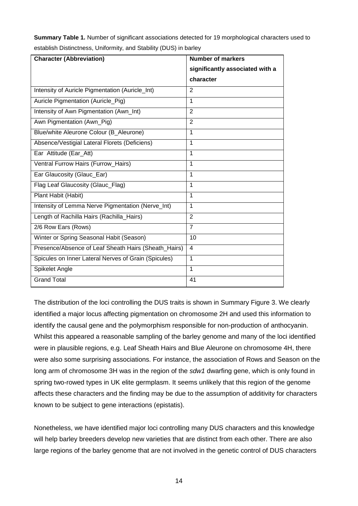| <b>Summary Table 1.</b> Number of significant associations detected for 19 morphological characters used to |  |
|-------------------------------------------------------------------------------------------------------------|--|
| establish Distinctness, Uniformity, and Stability (DUS) in barley                                           |  |

| <b>Character (Abbreviation)</b>                      | <b>Number of markers</b>        |  |
|------------------------------------------------------|---------------------------------|--|
|                                                      | significantly associated with a |  |
|                                                      | character                       |  |
| Intensity of Auricle Pigmentation (Auricle_Int)      | 2                               |  |
| Auricle Pigmentation (Auricle_Pig)                   | 1                               |  |
| Intensity of Awn Pigmentation (Awn_Int)              | 2                               |  |
| Awn Pigmentation (Awn_Pig)                           | $\overline{2}$                  |  |
| Blue/white Aleurone Colour (B_Aleurone)              | 1                               |  |
| Absence/Vestigial Lateral Florets (Deficiens)        | 1                               |  |
| Ear Attitude (Ear_Att)                               | 1                               |  |
| Ventral Furrow Hairs (Furrow_Hairs)                  | 1                               |  |
| Ear Glaucosity (Glauc_Ear)                           | 1                               |  |
| Flag Leaf Glaucosity (Glauc_Flag)                    | 1                               |  |
| Plant Habit (Habit)                                  | 1                               |  |
| Intensity of Lemma Nerve Pigmentation (Nerve_Int)    | 1                               |  |
| Length of Rachilla Hairs (Rachilla_Hairs)            | $\mathbf{2}$                    |  |
| 2/6 Row Ears (Rows)                                  | $\overline{7}$                  |  |
| Winter or Spring Seasonal Habit (Season)             | 10                              |  |
| Presence/Absence of Leaf Sheath Hairs (Sheath_Hairs) | $\overline{\mathbf{4}}$         |  |
| Spicules on Inner Lateral Nerves of Grain (Spicules) | 1                               |  |
| Spikelet Angle                                       | 1                               |  |
| <b>Grand Total</b>                                   | 41                              |  |

The distribution of the loci controlling the DUS traits is shown in Summary Figure 3. We clearly identified a major locus affecting pigmentation on chromosome 2H and used this information to identify the causal gene and the polymorphism responsible for non-production of anthocyanin. Whilst this appeared a reasonable sampling of the barley genome and many of the loci identified were in plausible regions, e.g. Leaf Sheath Hairs and Blue Aleurone on chromosome 4H, there were also some surprising associations. For instance, the association of Rows and Season on the long arm of chromosome 3H was in the region of the *sdw1* dwarfing gene, which is only found in spring two-rowed types in UK elite germplasm. It seems unlikely that this region of the genome affects these characters and the finding may be due to the assumption of additivity for characters known to be subject to gene interactions (epistatis).

Nonetheless, we have identified major loci controlling many DUS characters and this knowledge will help barley breeders develop new varieties that are distinct from each other. There are also large regions of the barley genome that are not involved in the genetic control of DUS characters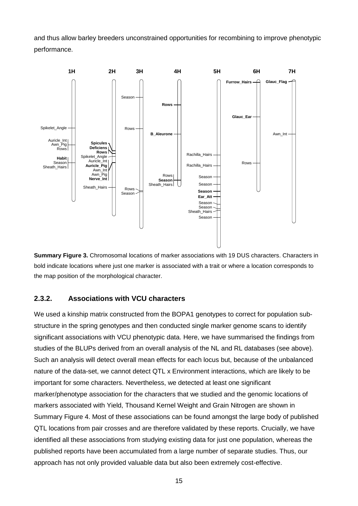and thus allow barley breeders unconstrained opportunities for recombining to improve phenotypic performance.



**Summary Figure 3.** Chromosomal locations of marker associations with 19 DUS characters. Characters in bold indicate locations where just one marker is associated with a trait or where a location corresponds to the map position of the morphological character.

#### **2.3.2. Associations with VCU characters**

We used a kinship matrix constructed from the BOPA1 genotypes to correct for population substructure in the spring genotypes and then conducted single marker genome scans to identify significant associations with VCU phenotypic data. Here, we have summarised the findings from studies of the BLUPs derived from an overall analysis of the NL and RL databases (see above). Such an analysis will detect overall mean effects for each locus but, because of the unbalanced nature of the data-set, we cannot detect QTL x Environment interactions, which are likely to be important for some characters. Nevertheless, we detected at least one significant marker/phenotype association for the characters that we studied and the genomic locations of markers associated with Yield, Thousand Kernel Weight and Grain Nitrogen are shown in Summary Figure 4. Most of these associations can be found amongst the large body of published QTL locations from pair crosses and are therefore validated by these reports. Crucially, we have identified all these associations from studying existing data for just one population, whereas the published reports have been accumulated from a large number of separate studies. Thus, our approach has not only provided valuable data but also been extremely cost-effective.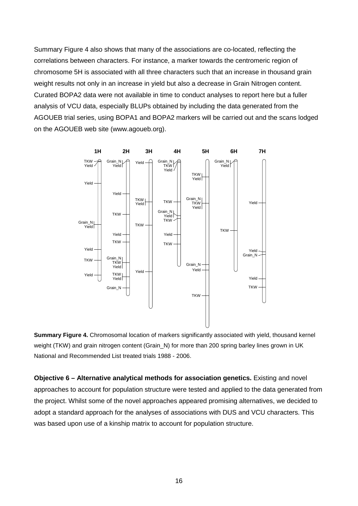Summary Figure 4 also shows that many of the associations are co-located, reflecting the correlations between characters. For instance, a marker towards the centromeric region of chromosome 5H is associated with all three characters such that an increase in thousand grain weight results not only in an increase in yield but also a decrease in Grain Nitrogen content. Curated BOPA2 data were not available in time to conduct analyses to report here but a fuller analysis of VCU data, especially BLUPs obtained by including the data generated from the AGOUEB trial series, using BOPA1 and BOPA2 markers will be carried out and the scans lodged on the AGOUEB web site [\(www.agoueb.org\)](http://www.agoueb.org/).



**Summary Figure 4.** Chromosomal location of markers significantly associated with yield, thousand kernel weight (TKW) and grain nitrogen content (Grain N) for more than 200 spring barley lines grown in UK National and Recommended List treated trials 1988 - 2006.

**Objective 6 – Alternative analytical methods for association genetics.** Existing and novel approaches to account for population structure were tested and applied to the data generated from the project. Whilst some of the novel approaches appeared promising alternatives, we decided to adopt a standard approach for the analyses of associations with DUS and VCU characters. This was based upon use of a kinship matrix to account for population structure.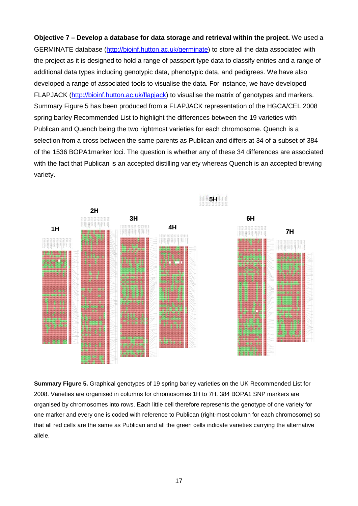**Objective 7 – Develop a database for data storage and retrieval within the project.** We used a GERMINATE database [\(http://bioinf.hutton.ac.uk/germinate\)](http://bioinf.hutton.ac.uk/germinate) to store all the data associated with the project as it is designed to hold a range of passport type data to classify entries and a range of additional data types including genotypic data, phenotypic data, and pedigrees. We have also developed a range of associated tools to visualise the data. For instance, we have developed FLAPJACK [\(http://bioinf.hutton.ac.uk/flapjack\)](http://bioinf.hutton.ac.uk/flapjack) to visualise the matrix of genotypes and markers. Summary Figure 5 has been produced from a FLAPJACK representation of the HGCA/CEL 2008 spring barley Recommended List to highlight the differences between the 19 varieties with Publican and Quench being the two rightmost varieties for each chromosome. Quench is a selection from a cross between the same parents as Publican and differs at 34 of a subset of 384 of the 1536 BOPA1marker loci. The question is whether any of these 34 differences are associated with the fact that Publican is an accepted distilling variety whereas Quench is an accepted brewing variety.



**Summary Figure 5.** Graphical genotypes of 19 spring barley varieties on the UK Recommended List for 2008. Varieties are organised in columns for chromosomes 1H to 7H. 384 BOPA1 SNP markers are organised by chromosomes into rows. Each little cell therefore represents the genotype of one variety for one marker and every one is coded with reference to Publican (right-most column for each chromosome) so that all red cells are the same as Publican and all the green cells indicate varieties carrying the alternative allele.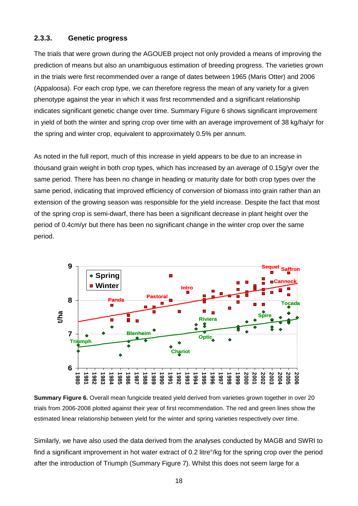#### **2.3.3. Genetic progress**

The trials that were grown during the AGOUEB project not only provided a means of improving the prediction of means but also an unambiguous estimation of breeding progress. The varieties grown in the trials were first recommended over a range of dates between 1965 (Maris Otter) and 2006 (Appaloosa). For each crop type, we can therefore regress the mean of any variety for a given phenotype against the year in which it was first recommended and a significant relationship indicates significant genetic change over time. Summary Figure 6 shows significant improvement in yield of both the winter and spring crop over time with an average improvement of 38 kg/ha/yr for the spring and winter crop, equivalent to approximately 0.5% per annum.

As noted in the full report, much of this increase in yield appears to be due to an increase in thousand grain weight in both crop types, which has increased by an average of 0.15g/yr over the same period. There has been no change in heading or maturity date for both crop types over the same period, indicating that improved efficiency of conversion of biomass into grain rather than an extension of the growing season was responsible for the yield increase. Despite the fact that most of the spring crop is semi-dwarf, there has been a significant decrease in plant height over the period of 0.4cm/yr but there has been no significant change in the winter crop over the same period.



**Summary Figure 6.** Overall mean fungicide treated yield derived from varieties grown together in over 20 trials from 2006-2008 plotted against their year of first recommendation. The red and green lines show the estimated linear relationship between yield for the winter and spring varieties respectively over time.

Similarly, we have also used the data derived from the analyses conducted by MAGB and SWRI to find a significant improvement in hot water extract of 0.2 litre°/kg for the spring crop over the period after the introduction of Triumph (Summary Figure 7). Whilst this does not seem large for a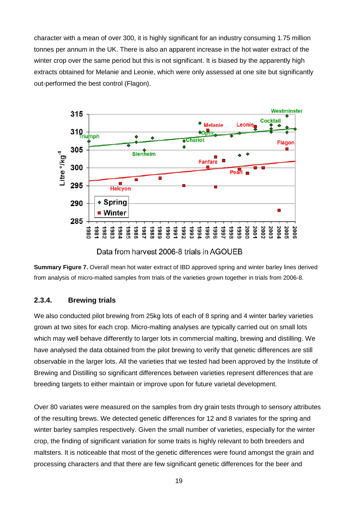character with a mean of over 300, it is highly significant for an industry consuming 1.75 million tonnes per annum in the UK. There is also an apparent increase in the hot water extract of the winter crop over the same period but this is not significant. It is biased by the apparently high extracts obtained for Melanie and Leonie, which were only assessed at one site but significantly out-performed the best control (Flagon).



Data from harvest 2006-8 trials in AGOUEB

**Summary Figure 7.** Overall mean hot water extract of IBD approved spring and winter barley lines derived from analysis of micro-malted samples from trials of the varieties grown together in trials from 2006-8.

#### **2.3.4. Brewing trials**

We also conducted pilot brewing from 25kg lots of each of 8 spring and 4 winter barley varieties grown at two sites for each crop. Micro-malting analyses are typically carried out on small lots which may well behave differently to larger lots in commercial malting, brewing and distilling. We have analysed the data obtained from the pilot brewing to verify that genetic differences are still observable in the larger lots. All the varieties that we tested had been approved by the Institute of Brewing and Distilling so significant differences between varieties represent differences that are breeding targets to either maintain or improve upon for future varietal development.

Over 80 variates were measured on the samples from dry grain tests through to sensory attributes of the resulting brews. We detected genetic differences for 12 and 8 variates for the spring and winter barley samples respectively. Given the small number of varieties, especially for the winter crop, the finding of significant variation for some traits is highly relevant to both breeders and maltsters. It is noticeable that most of the genetic differences were found amongst the grain and processing characters and that there are few significant genetic differences for the beer and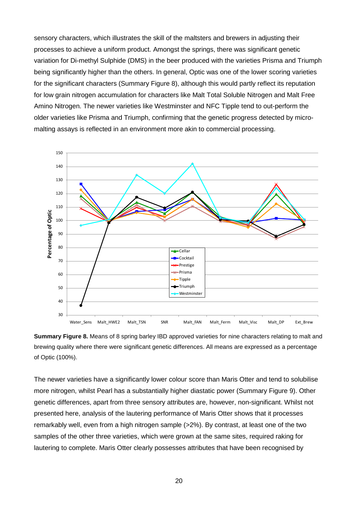sensory characters, which illustrates the skill of the maltsters and brewers in adjusting their processes to achieve a uniform product. Amongst the springs, there was significant genetic variation for Di-methyl Sulphide (DMS) in the beer produced with the varieties Prisma and Triumph being significantly higher than the others. In general, Optic was one of the lower scoring varieties for the significant characters (Summary Figure 8), although this would partly reflect its reputation for low grain nitrogen accumulation for characters like Malt Total Soluble Nitrogen and Malt Free Amino Nitrogen. The newer varieties like Westminster and NFC Tipple tend to out-perform the older varieties like Prisma and Triumph, confirming that the genetic progress detected by micromalting assays is reflected in an environment more akin to commercial processing.



**Summary Figure 8.** Means of 8 spring barley IBD approved varieties for nine characters relating to malt and brewing quality where there were significant genetic differences. All means are expressed as a percentage of Optic (100%).

The newer varieties have a significantly lower colour score than Maris Otter and tend to solubilise more nitrogen, whilst Pearl has a substantially higher diastatic power (Summary Figure 9). Other genetic differences, apart from three sensory attributes are, however, non-significant. Whilst not presented here, analysis of the lautering performance of Maris Otter shows that it processes remarkably well, even from a high nitrogen sample (>2%). By contrast, at least one of the two samples of the other three varieties, which were grown at the same sites, required raking for lautering to complete. Maris Otter clearly possesses attributes that have been recognised by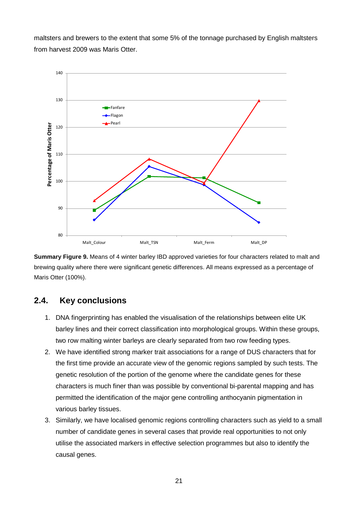maltsters and brewers to the extent that some 5% of the tonnage purchased by English maltsters from harvest 2009 was Maris Otter.



**Summary Figure 9.** Means of 4 winter barley IBD approved varieties for four characters related to malt and brewing quality where there were significant genetic differences. All means expressed as a percentage of Maris Otter (100%).

### **2.4. Key conclusions**

- 1. DNA fingerprinting has enabled the visualisation of the relationships between elite UK barley lines and their correct classification into morphological groups. Within these groups, two row malting winter barleys are clearly separated from two row feeding types.
- 2. We have identified strong marker trait associations for a range of DUS characters that for the first time provide an accurate view of the genomic regions sampled by such tests. The genetic resolution of the portion of the genome where the candidate genes for these characters is much finer than was possible by conventional bi-parental mapping and has permitted the identification of the major gene controlling anthocyanin pigmentation in various barley tissues.
- 3. Similarly, we have localised genomic regions controlling characters such as yield to a small number of candidate genes in several cases that provide real opportunities to not only utilise the associated markers in effective selection programmes but also to identify the causal genes.